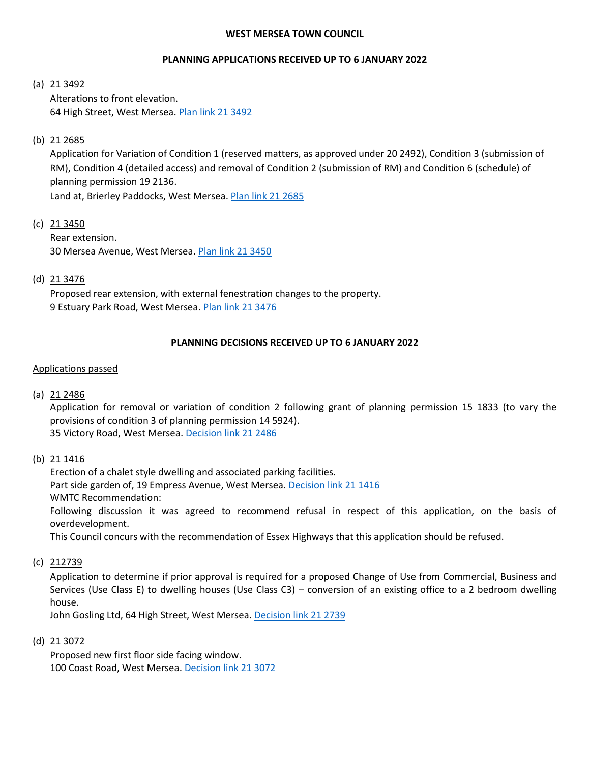#### **WEST MERSEA TOWN COUNCIL**

## **PLANNING APPLICATIONS RECEIVED UP TO 6 JANUARY 2022**

#### (a) 21 3492

Alterations to front elevation. 64 High Street, West Mersea. Plan [link 21 3492](https://www.colchester.gov.uk/wampd/?id=213492)

### (b)  $21\,2685$

Application for Variation of Condition 1 (reserved matters, as approved under 20 2492), Condition 3 (submission of RM), Condition 4 (detailed access) and removal of Condition 2 (submission of RM) and Condition 6 (schedule) of planning permission 19 2136.

Land at, Brierley Paddocks, West Mersea. Plan [link 21 2685](https://www.colchester.gov.uk/wampd/?id=212685)

(c) 21 3450

Rear extension. 30 Mersea Avenue, West Mersea[. Plan link 21 3450](https://www.colchester.gov.uk/wampd/?id=213450)

# (d) 21 3476

Proposed rear extension, with external fenestration changes to the property. 9 Estuary Park Road, West Mersea. [Plan link 21](https://www.colchester.gov.uk/wampd/?id=213476) 3476

## **PLANNING DECISIONS RECEIVED UP TO 6 JANUARY 2022**

#### Applications passed

(a) 21 2486

Application for removal or variation of condition 2 following grant of planning permission 15 1833 (to vary the provisions of condition 3 of planning permission 14 5924). 35 Victory Road, West Mersea[. Decision link 21 2486](https://d0cs.colchester.gov.uk/Publisher/mvc/listDocuments?identifier=DC&ref=212486)

(b) 21 1416

Erection of a chalet style dwelling and associated parking facilities. Part side garden of, 19 Empress Avenue, West Mersea[. Decision link 21](https://d0cs.colchester.gov.uk/Publisher/mvc/listDocuments?identifier=DC&ref=211416) 1416 WMTC Recommendation: Following discussion it was agreed to recommend refusal in respect of this application, on the basis of overdevelopment.

This Council concurs with the recommendation of Essex Highways that this application should be refused.

(c) 212739

Application to determine if prior approval is required for a proposed Change of Use from Commercial, Business and Services (Use Class E) to dwelling houses (Use Class C3) – conversion of an existing office to a 2 bedroom dwelling house.

John Gosling Ltd, 64 High Street, West Mersea. [Decision link 21](https://d0cs.colchester.gov.uk/Publisher/mvc/listDocuments?identifier=DC&ref=212739) 2739

(d) 21 3072

Proposed new first floor side facing window. 100 Coast Road, West Mersea[. Decision link 21 3072](https://d0cs.colchester.gov.uk/Publisher/mvc/listDocuments?identifier=DC&ref=213072)